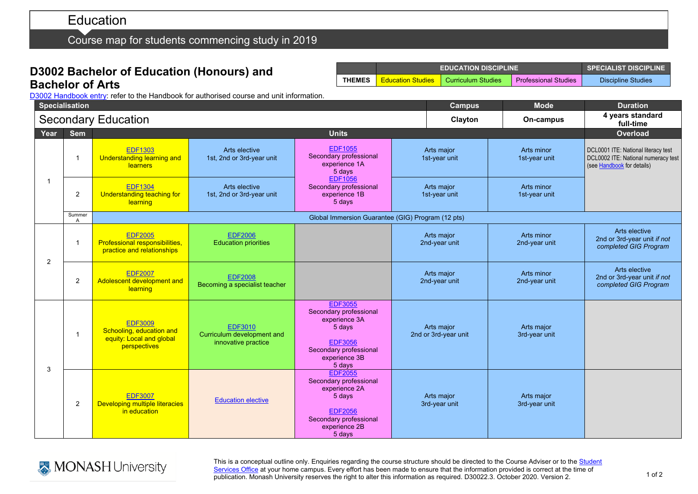# Education

Course map for students commencing study in 2019

# **D3002 Bachelor of Education (Honours) and Bachelor of Arts**

|               |                          | <b>EDUCATION DISCIPLINE</b> | I SPECIALIST DISCIPLINE     |                           |
|---------------|--------------------------|-----------------------------|-----------------------------|---------------------------|
| <b>THEMES</b> | <b>Education Studies</b> | Curriculum Studies          | <b>Professional Studies</b> | <b>Discipline Studies</b> |

D3002 [Handbook entry:](http://www.monash.edu.au/pubs/2019handbooks/courses/D3002.html) refer to the Handbook for authorised course and unit information.

|                | <b>Specialisation</b>      |                                                                                        |                                                                     |                                                                                                                                            |                                    | <b>Mode</b><br><b>Campus</b> | <b>Duration</b>                                                                                          |
|----------------|----------------------------|----------------------------------------------------------------------------------------|---------------------------------------------------------------------|--------------------------------------------------------------------------------------------------------------------------------------------|------------------------------------|------------------------------|----------------------------------------------------------------------------------------------------------|
|                | <b>Secondary Education</b> |                                                                                        |                                                                     |                                                                                                                                            |                                    | Clayton<br>On-campus         | 4 years standard<br>full-time                                                                            |
| Year           | <b>Sem</b>                 | <b>Units</b>                                                                           |                                                                     |                                                                                                                                            |                                    |                              | Overload                                                                                                 |
| -1             | 1                          | <b>EDF1303</b><br>Understanding learning and<br>learners                               | Arts elective<br>1st, 2nd or 3rd-year unit                          | <b>EDF1055</b><br>Secondary professional<br>experience 1A<br>5 days                                                                        | Arts major<br>1st-year unit        | Arts minor<br>1st-year unit  | DCL0001 ITE: National literacy test<br>DCL0002 ITE: National numeracy test<br>(see Handbook for details) |
|                | 2                          | <b>EDF1304</b><br>Understanding teaching for<br>learning                               | Arts elective<br>1st, 2nd or 3rd-year unit                          | <b>EDF1056</b><br>Secondary professional<br>experience 1B<br>5 days                                                                        | Arts major<br>1st-year unit        | Arts minor<br>1st-year unit  |                                                                                                          |
|                | Summer<br>$\mathsf{A}$     | Global Immersion Guarantee (GIG) Program (12 pts)                                      |                                                                     |                                                                                                                                            |                                    |                              |                                                                                                          |
| $\overline{2}$ | -1                         | <b>EDF2005</b><br>Professional responsibilities,<br>practice and relationships         | <b>EDF2006</b><br><b>Education priorities</b>                       |                                                                                                                                            | Arts major<br>2nd-year unit        | Arts minor<br>2nd-year unit  | Arts elective<br>2nd or 3rd-year unit if not<br>completed GIG Program                                    |
|                | 2                          | <b>EDF2007</b><br>Adolescent development and<br>learning                               | <b>EDF2008</b><br>Becoming a specialist teacher                     |                                                                                                                                            | Arts major<br>2nd-year unit        | Arts minor<br>2nd-year unit  | Arts elective<br>2nd or 3rd-year unit if not<br>completed GIG Program                                    |
| 3              | 1                          | <b>EDF3009</b><br>Schooling, education and<br>equity: Local and global<br>perspectives | <b>EDF3010</b><br>Curriculum development and<br>innovative practice | <b>EDF3055</b><br>Secondary professional<br>experience 3A<br>5 days<br><b>EDF3056</b><br>Secondary professional<br>experience 3B<br>5 days | Arts major<br>2nd or 3rd-year unit | Arts major<br>3rd-year unit  |                                                                                                          |
|                | $\overline{2}$             | <b>EDF3007</b><br>Developing multiple literacies<br>in education                       | <b>Education elective</b>                                           | <b>EDF2055</b><br>Secondary professional<br>experience 2A<br>5 days<br><b>EDF2056</b><br>Secondary professional<br>experience 2B<br>5 days | Arts major<br>3rd-year unit        | Arts major<br>3rd-year unit  |                                                                                                          |



This is a conceptual outline only. Enquiries regarding the course structure should be directed to the Course Adviser or to the Student [Services Office](https://www.monash.edu/education/current-students/contact) at your home campus. Every effort has been made to ensure that the information provided is correct at the time of publication. Monash University reserves the right to alter this information as required. D30022.3. October 2020. Version 2.